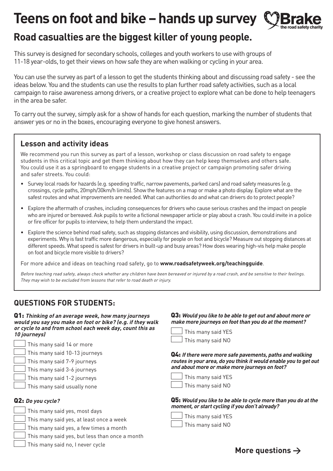# **Teens on foot and bike – hands up survey**



# **Road casualties are the biggest killer of young people.**

This survey is designed for secondary schools, colleges and youth workers to use with groups of 11-18 year-olds, to get their views on how safe they are when walking or cycling in your area.

You can use the survey as part of a lesson to get the students thinking about and discussing road safety - see the ideas below. You and the students can use the results to plan further road safety activities, such as a local campaign to raise awareness among drivers, or a creative project to explore what can be done to help teenagers in the area be safer.

To carry out the survey, simply ask for a show of hands for each question, marking the number of students that answer yes or no in the boxes, encouraging everyone to give honest answers.

## **Lesson and activity ideas**

We recommend you run this survey as part of a lesson, workshop or class discussion on road safety to engage students in this critical topic and get them thinking about how they can help keep themselves and others safe. You could use it as a springboard to engage students in a creative project or campaign promoting safer driving and safer streets. You could:

- Survey local roads for hazards (e.g. speeding traffic, narrow pavements, parked cars) and road safety measures (e.g. crossings, cycle paths, 20mph/30km/h limits). Show the features on a map or make a photo display. Explore what are the safest routes and what improvements are needed. What can authorities do and what can drivers do to protect people?
- Explore the aftermath of crashes, including consequences for drivers who cause serious crashes and the impact on people who are injured or bereaved. Ask pupils to write a fictional newspaper article or play about a crash. You could invite in a police or fire officer for pupils to interview, to help them understand the impact.
- Explore the science behind road safety, such as stopping distances and visibility, using discussion, demonstrations and experiments. Why is fast traffic more dangerous, especially for people on foot and bicycle? Measure out stopping distances at different speeds. What speed is safest for drivers in built-up and busy areas? How does wearing high-vis help make people on foot and bicycle more visible to drivers?

For more advice and ideas on teaching road safety, go to **[www.roadsafetyweek.org/teachingguide](http://www.roadsafetyweek.org/teachingguide)**.

Before teaching road safety, always check whether any children have been bereaved or injured by a road crash, and be sensitive to their feelings. *They may wish to be excluded from lessons that refer to road death or injury.*

# **QUESTIONS FOR STUDENTS:**

**Q1:** *Thinking of an average week, how many journeys would you say you make on foot or bike? (e.g. if they walk or cycle to and from school each week day, count this as 10 journeys)*



- This many said 10-13 journeys
- This many said 7-9 journeys
- This many said 3-6 journeys
- This many said 1-2 journeys
	- This many said usually none

#### **Q2:** *Do you cycle?*

- This many said yes, most days
- This many said yes, at least once a week
- This many said yes, a few times a month
	- This many said yes, but less than once a month
	- This many said no, I never cycle

#### **Q3:** *Would you like to be able to get out and about more or make more journeys on foot than you do at the moment?*



This many said YES This many said NO

**Q4:** *If there were more safe pavements, paths and walking routes in your area, do you think it would enable you to get out and about more or make more journeys on foot?*



**Q5:** *Would you like to be able to cycle more than you do at the moment, or start cycling if you don't already?*

|  | $\Box$ This many said YES |  |
|--|---------------------------|--|
|  |                           |  |

 $\Box$  This many said NO